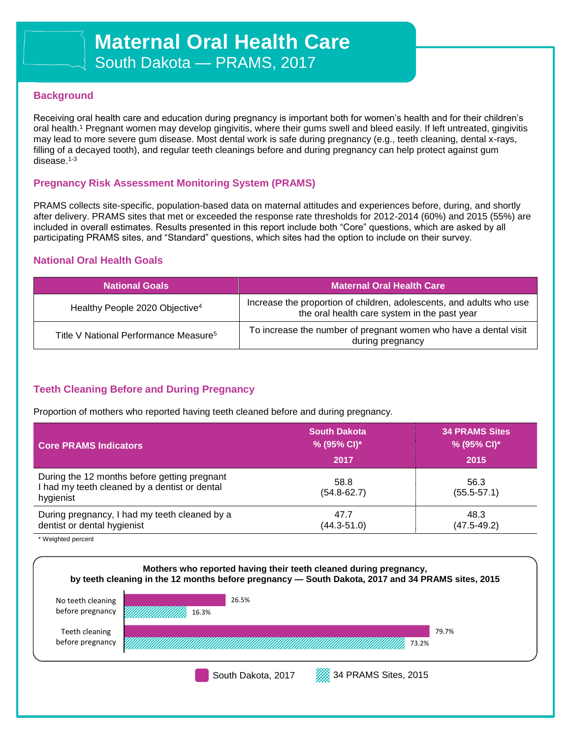### **Background**

Receiving oral health care and education during pregnancy is important both for women's health and for their children's oral health.<sup>1</sup> Pregnant women may develop gingivitis, where their gums swell and bleed easily. If left untreated, gingivitis may lead to more severe gum disease. Most dental work is safe during pregnancy (e.g., teeth cleaning, dental x-rays, filling of a decayed tooth), and regular teeth cleanings before and during pregnancy can help protect against gum disease.1-3

### **Pregnancy Risk Assessment Monitoring System (PRAMS)**

PRAMS collects site-specific, population-based data on maternal attitudes and experiences before, during, and shortly after delivery. PRAMS sites that met or exceeded the response rate thresholds for 2012-2014 (60%) and 2015 (55%) are included in overall estimates. Results presented in this report include both "Core" questions, which are asked by all participating PRAMS sites, and "Standard" questions, which sites had the option to include on their survey.

### **National Oral Health Goals**

| <b>National Goals</b>                             | <b>Maternal Oral Health Care</b>                                                                                     |  |
|---------------------------------------------------|----------------------------------------------------------------------------------------------------------------------|--|
| Healthy People 2020 Objective <sup>4</sup>        | Increase the proportion of children, adolescents, and adults who use<br>the oral health care system in the past year |  |
| Title V National Performance Measure <sup>5</sup> | To increase the number of pregnant women who have a dental visit<br>during pregnancy                                 |  |

### **Teeth Cleaning Before and During Pregnancy**

Proportion of mothers who reported having teeth cleaned before and during pregnancy.

| <b>Core PRAMS Indicators</b>                                                                               | <b>South Dakota</b><br>% (95% CI)*<br>2017 | <b>34 PRAMS Sites</b><br>% (95% CI)*<br>2015 |
|------------------------------------------------------------------------------------------------------------|--------------------------------------------|----------------------------------------------|
| During the 12 months before getting pregnant<br>I had my teeth cleaned by a dentist or dental<br>hygienist | 58.8<br>$(54.8 - 62.7)$                    | 56.3<br>$(55.5 - 57.1)$                      |
| During pregnancy, I had my teeth cleaned by a<br>dentist or dental hygienist                               | 47.7<br>$(44.3 - 51.0)$                    | 48.3<br>$(47.5 - 49.2)$                      |

\* Weighted percent

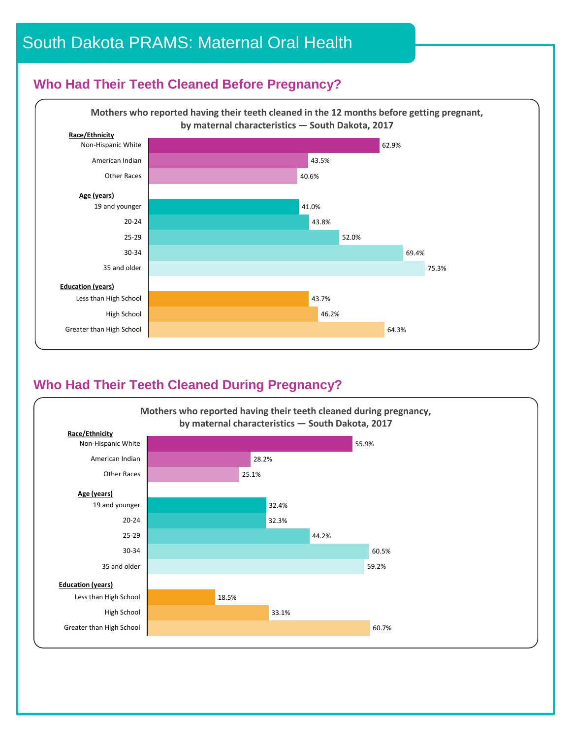# South Dakota PRAMS: Maternal Oral Health

## **Who Had Their Teeth Cleaned Before Pregnancy?**

Care<br>Care de la provincia<br>Care de la provincia



# **Who Had Their Teeth Cleaned During Pregnancy?**